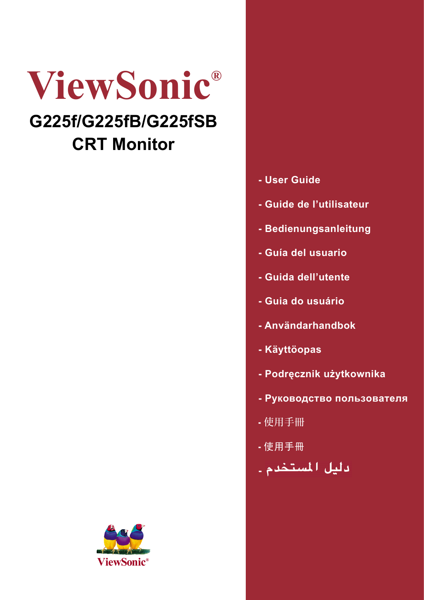# **ViewSonic® G225f/G225fB/G225fSB**

# **CRT Monitor**



## **- User Guide**

- **Guide de l'utilisateur**
- **Bedienungsanleitung**
- **Guía del usuario**
- **Guida dell'utente**
- **Guia do usuário**
- **Användarhandbok**
- **Käyttöopas**
- **Podręcznik użytkownika**
- **Руководство пользователя**
- 使用手冊
- 使用手冊
- <mark>دليل المستخدم ـ</mark>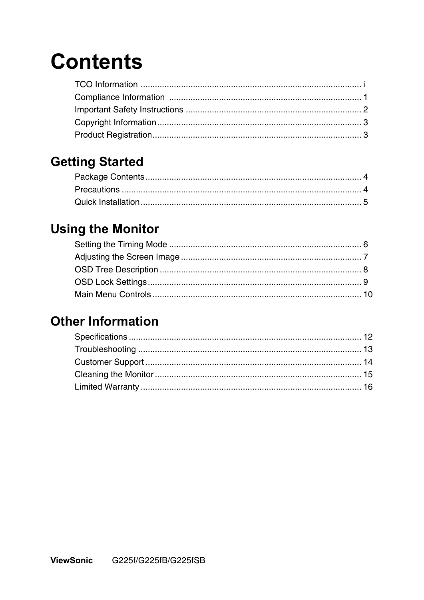# **Contents**

## **Getting Started**

# **Using the Monitor**

## **Other Information**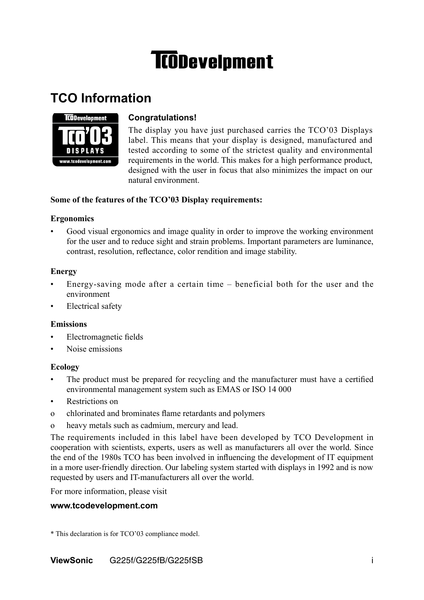# **TCODevelpment**

## **TCO Information**



### **Congratulations!**

The display you have just purchased carries the TCO'03 Displays label. This means that your display is designed, manufactured and tested according to some of the strictest quality and environmental requirements in the world. This makes for a high performance product, designed with the user in focus that also minimizes the impact on our natural environment.

### **Some of the features of the TCO'03 Display requirements:**

#### **Ergonomics**

• Good visual ergonomics and image quality in order to improve the working environment for the user and to reduce sight and strain problems. Important parameters are luminance, contrast, resolution, reflectance, color rendition and image stability.

### **Energy**

- Energy-saving mode after a certain time  $-$  beneficial both for the user and the environment
- Electrical safety

#### **Emissions**

- Electromagnetic fields
- Noise emissions

#### **Ecology**

- The product must be prepared for recycling and the manufacturer must have a certified environmental management system such as EMAS or ISO 14 000
- Restrictions on
- o chlorinated and brominates flame retardants and polymers
- o heavy metals such as cadmium, mercury and lead.

The requirements included in this label have been developed by TCO Development in cooperation with scientists, experts, users as well as manufacturers all over the world. Since the end of the 1980s TCO has been involved in influencing the development of IT equipment in a more user-friendly direction. Our labeling system started with displays in 1992 and is now requested by users and IT-manufacturers all over the world.

For more information, please visit

#### **www.tcodevelopment.com**

\* This declaration is for TCO'03 compliance model.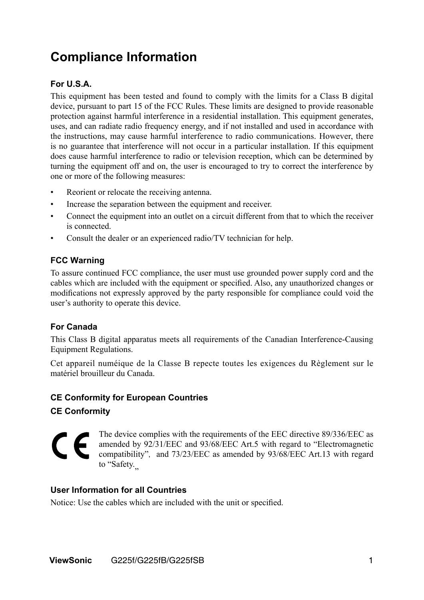## **Compliance Information**

### **For U.S.A.**

This equipment has been tested and found to comply with the limits for a Class B digital device, pursuant to part 15 of the FCC Rules. These limits are designed to provide reasonable protection against harmful interference in a residential installation. This equipment generates, uses, and can radiate radio frequency energy, and if not installed and used in accordance with the instructions, may cause harmful interference to radio communications. However, there is no guarantee that interference will not occur in a particular installation. If this equipment does cause harmful interference to radio or television reception, which can be determined by turning the equipment off and on, the user is encouraged to try to correct the interference by one or more of the following measures:

- Reorient or relocate the receiving antenna.
- Increase the separation between the equipment and receiver.
- Connect the equipment into an outlet on a circuit different from that to which the receiver is connected.
- Consult the dealer or an experienced radio/TV technician for help.

#### **FCC Warning**

To assure continued FCC compliance, the user must use grounded power supply cord and the cables which are included with the equipment or specified. Also, any unauthorized changes or modifications not expressly approved by the party responsible for compliance could void the user's authority to operate this device.

### **For Canada**

This Class B digital apparatus meets all requirements of the Canadian Interference-Causing Equipment Regulations.

Cet appareil numéique de la Classe B repecte toutes les exigences du Règlement sur le matériel brouilleur du Canada.

### **CE Conformity for European Countries**

**CE Conformity**

The device complies with the requirements of the EEC directive 89/336/EEC as CE amended by 92/31/EEC and 93/68/EEC Art.5 with regard to "Electromagnetic compatibility", and 73/23/EEC as amended by 93/68/EEC Art.13 with regard to "Safety.

#### **User Information for all Countries**

Notice: Use the cables which are included with the unit or specified.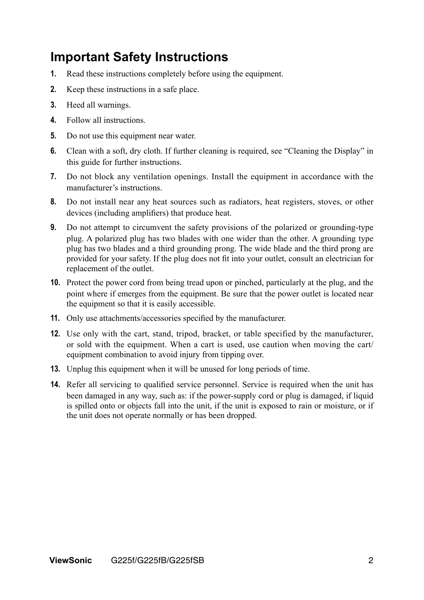## **Important Safety Instructions**

- **1.** Read these instructions completely before using the equipment.
- **2.** Keep these instructions in a safe place.
- **3.** Heed all warnings.
- **4.** Follow all instructions.
- **5.** Do not use this equipment near water.
- **6.** Clean with a soft, dry cloth. If further cleaning is required, see "Cleaning the Display" in this guide for further instructions.
- **7.** Do not block any ventilation openings. Install the equipment in accordance with the manufacturer's instructions.
- **8.** Do not install near any heat sources such as radiators, heat registers, stoves, or other devices (including amplifiers) that produce heat.
- **9.** Do not attempt to circumvent the safety provisions of the polarized or grounding-type plug. A polarized plug has two blades with one wider than the other. A grounding type plug has two blades and a third grounding prong. The wide blade and the third prong are provided for your safety. If the plug does not fit into your outlet, consult an electrician for replacement of the outlet.
- **10.** Protect the power cord from being tread upon or pinched, particularly at the plug, and the point where if emerges from the equipment. Be sure that the power outlet is located near the equipment so that it is easily accessible.
- **11.** Only use attachments/accessories specified by the manufacturer.
- **12.** Use only with the cart, stand, tripod, bracket, or table specified by the manufacturer, or sold with the equipment. When a cart is used, use caution when moving the cart/ equipment combination to avoid injury from tipping over.
- **13.** Unplug this equipment when it will be unused for long periods of time.
- **14.** Refer all servicing to qualified service personnel. Service is required when the unit has been damaged in any way, such as: if the power-supply cord or plug is damaged, if liquid is spilled onto or objects fall into the unit, if the unit is exposed to rain or moisture, or if the unit does not operate normally or has been dropped.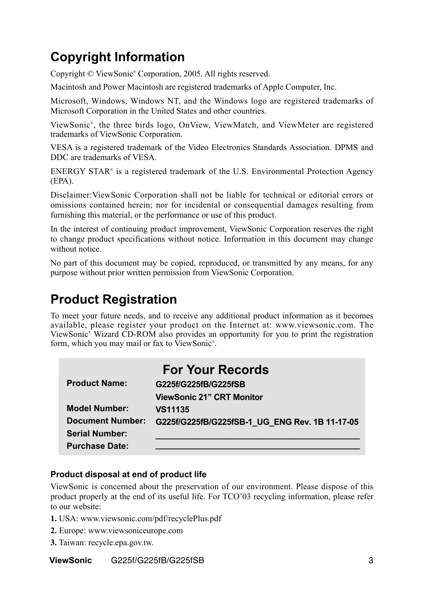# **Copyright Information**

Copyright © ViewSonic® Corporation, 2005. All rights reserved.

Macintosh and Power Macintosh are registered trademarks of Apple Computer, Inc.

Microsoft, Windows, Windows NT, and the Windows logo are registered trademarks of Microsoft Corporation in the United States and other countries.

ViewSonic® , the three birds logo, OnView, ViewMatch, and ViewMeter are registered trademarks of ViewSonic Corporation.

VESA is a registered trademark of the Video Electronics Standards Association. DPMS and DDC are trademarks of VESA.

ENERGY STAR® is a registered trademark of the U.S. Environmental Protection Agency (EPA).

Disclaimer:ViewSonic Corporation shall not be liable for technical or editorial errors or omissions contained herein; nor for incidental or consequential damages resulting from furnishing this material, or the performance or use of this product.

In the interest of continuing product improvement, ViewSonic Corporation reserves the right to change product specifications without notice. Information in this document may change without notice.

No part of this document may be copied, reproduced, or transmitted by any means, for any purpose without prior written permission from ViewSonic Corporation.

## **Product Registration**

To meet your future needs, and to receive any additional product information as it becomes available, please register your product on the Internet at: www.viewsonic.com. The ViewSonic® Wizard CD-ROM also provides an opportunity for you to print the registration form, which you may mail or fax to ViewSonic® .

|                         | <b>For Your Records</b>                        |
|-------------------------|------------------------------------------------|
| <b>Product Name:</b>    | G225f/G225fB/G225fSB                           |
|                         | <b>ViewSonic 21" CRT Monitor</b>               |
| <b>Model Number:</b>    | <b>VS11135</b>                                 |
| <b>Document Number:</b> | G225f/G225fB/G225fSB-1 UG ENG Rev. 1B 11-17-05 |
| <b>Serial Number:</b>   |                                                |
| <b>Purchase Date:</b>   |                                                |

### **Product disposal at end of product life**

ViewSonic is concerned about the preservation of our environment. Please dispose of this product properly at the end of its useful life. For TCO'03 recycling information, please refer to our website:

- **1.** USA: www.viewsonic.com/pdf/recyclePlus.pdf
- **2.** Europe: www.viewsoniceurope.com
- **3.** Taiwan: recycle.epa.gov.tw.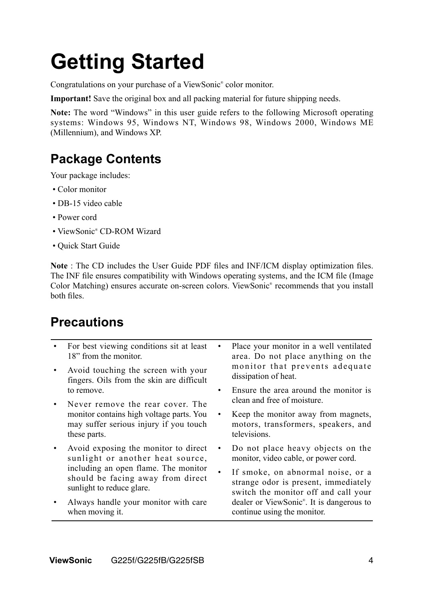# **Getting Started**

Congratulations on your purchase of a ViewSonic® color monitor.

**Important!** Save the original box and all packing material for future shipping needs.

**Note:** The word "Windows" in this user guide refers to the following Microsoft operating systems: Windows 95, Windows NT, Windows 98, Windows 2000, Windows ME (Millennium), and Windows XP.

# **Package Contents**

Your package includes:

- Color monitor
- DB-15 video cable
- Power cord
- ViewSonic® CD-ROM Wizard
- Quick Start Guide

**Note** : The CD includes the User Guide PDF files and INF/ICM display optimization files. The INF file ensures compatibility with Windows operating systems, and the ICM file (Image Color Matching) ensures accurate on-screen colors. ViewSonic® recommends that you install both files.

## **Precautions**

|           | For best viewing conditions sit at least<br>18" from the monitor.<br>Avoid touching the screen with your<br>fingers. Oils from the skin are difficult | Place your monitor in a well ventilated<br>area. Do not place anything on the<br>monitor that prevents adequate<br>dissipation of heat. |  |
|-----------|-------------------------------------------------------------------------------------------------------------------------------------------------------|-----------------------------------------------------------------------------------------------------------------------------------------|--|
| $\bullet$ | to remove.<br>Never remove the rear cover. The                                                                                                        | Ensure the area around the monitor is<br>clean and free of moisture.                                                                    |  |
|           | monitor contains high voltage parts. You<br>may suffer serious injury if you touch<br>these parts.                                                    | Keep the monitor away from magnets,<br>motors, transformers, speakers, and<br>televisions.                                              |  |
|           | Avoid exposing the monitor to direct<br>sunlight or another heat source,                                                                              | Do not place heavy objects on the<br>monitor, video cable, or power cord.                                                               |  |
|           | including an open flame. The monitor<br>should be facing away from direct<br>sunlight to reduce glare.                                                | If smoke, on abnormal noise, or a<br>strange odor is present, immediately<br>switch the monitor off and call your                       |  |
|           | Always handle your monitor with care<br>when moving it.                                                                                               | dealer or ViewSonic <sup>®</sup> . It is dangerous to<br>continue using the monitor.                                                    |  |
|           |                                                                                                                                                       |                                                                                                                                         |  |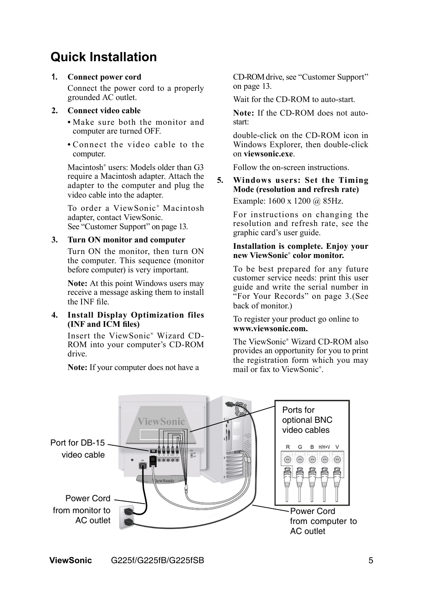## **Quick Installation**

#### **1. Connect power cord**

Connect the power cord to a properly grounded AC outlet.

#### **2. Connect video cable**

- Make sure both the monitor and computer are turned OFF.
- Connect the video cable to the computer.

Macintosh<sup>®</sup> users: Models older than G3 require a Macintosh adapter. Attach the adapter to the computer and plug the video cable into the adapter.

To order a ViewSonic<sup>®</sup> Macintosh adapter, contact ViewSonic. See "Customer Support" on page 13.

#### **3. Turn ON monitor and computer**

Turn ON the monitor, then turn ON the computer. This sequence (monitor before computer) is very important.

 **Note:** At this point Windows users may receive a message asking them to install the INF file.

#### **4. Install Display Optimization files (INF and ICM files)**

Insert the ViewSonic<sup>®</sup> Wizard CD-ROM into your computer's CD-ROM drive.

 **Note:** If your computer does not have a

CD-ROMdrive, see "Customer Support" on page 13.

Wait for the CD-ROM to auto-start.

 **Note:** If the CD-ROM does not autostart:

double-click on the CD-ROM icon in Windows Explorer, then double-click on **viewsonic.exe**.

Follow the on-screen instructions.

## **5. Windows users: Set the Timing Mode (resolution and refresh rate)**

Example: 1600 x 1200 @ 85Hz.

For instructions on changing the resolution and refresh rate, see the graphic card's user guide.

#### **Installation is complete. Enjoy your new ViewSonic**®  **color monitor.**

To be best prepared for any future customer service needs: print this user guide and write the serial number in "For Your Records" on page 3.(See back of monitor.)

To register your product go online to  **www.viewsonic.com.**

The ViewSonic® Wizard CD-ROM also provides an opportunity for you to print the registration form which you may mail or fax to ViewSonic® .

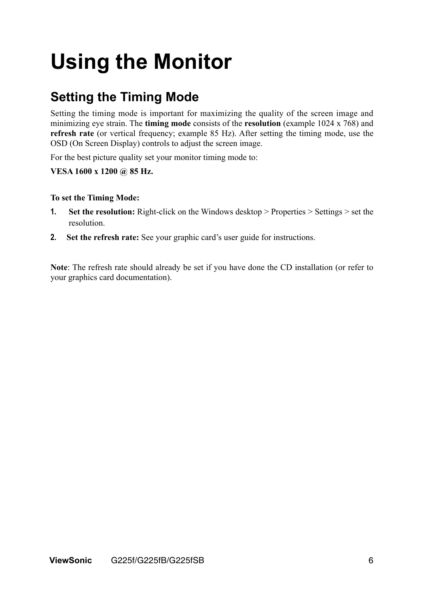# **Using the Monitor**

# **Setting the Timing Mode**

Setting the timing mode is important for maximizing the quality of the screen image and minimizing eye strain. The **timing mode** consists of the **resolution** (example 1024 x 768) and **refresh rate** (or vertical frequency; example 85 Hz). After setting the timing mode, use the OSD (On Screen Display) controls to adjust the screen image.

For the best picture quality set your monitor timing mode to:

### **VESA 1600 x 1200 @ 85 Hz.**

### **To set the Timing Mode:**

- **1. Set the resolution:** Right-click on the Windows desktop > Properties > Settings > set the resolution.
- **2. Set the refresh rate:** See your graphic card's user guide for instructions.

**Note**: The refresh rate should already be set if you have done the CD installation (or refer to your graphics card documentation).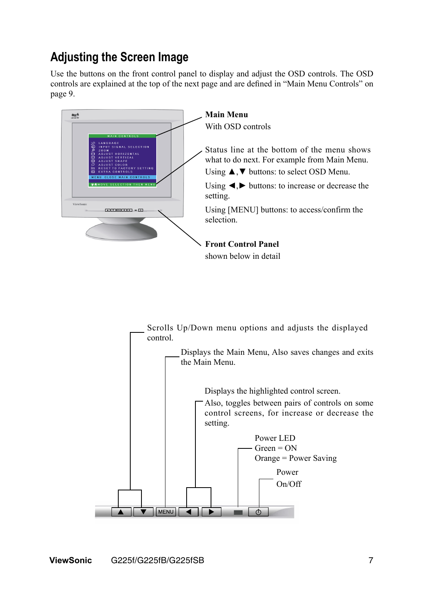## **Adjusting the Screen Image**

Use the buttons on the front control panel to display and adjust the OSD controls. The OSD controls are explained at the top of the next page and are defined in "Main Menu Controls" on page 9.



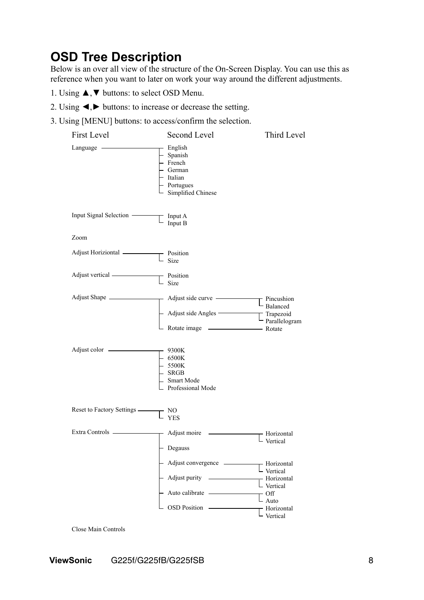## **OSD Tree Description**

Below is an over all view of the structure of the On-Screen Display. You can use this as reference when you want to later on work your way around the different adjustments.

- 1. Using ▲,▼ buttons: to select OSD Menu.
- 2. Using ◄,► buttons: to increase or decrease the setting.
- 3. Using [MENU] buttons: to access/confirm the selection.

| <b>First Level</b>            | Second Level                                                                                                         | Third Level                                                                                                                                                                    |
|-------------------------------|----------------------------------------------------------------------------------------------------------------------|--------------------------------------------------------------------------------------------------------------------------------------------------------------------------------|
| Language —                    | - English<br>- Spanish<br>- French<br>- German<br>· Italian<br>- Portugues<br>Simplified Chinese                     |                                                                                                                                                                                |
| Input Signal Selection -      | $\Gamma$ Input A<br>Input B                                                                                          |                                                                                                                                                                                |
| Zoom                          |                                                                                                                      |                                                                                                                                                                                |
| Adjust Horiziontal __________ | $\Gamma$ Position<br>Size                                                                                            |                                                                                                                                                                                |
| Adjust vertical ——————        | $\Gamma$ Position                                                                                                    |                                                                                                                                                                                |
| Adjust Shape                  | $-$ Adjust side curve $-$                                                                                            | $\Gamma$ Pincushion<br>$\mathsf{L}_{\text{Balance}}$                                                                                                                           |
|                               | Adjust side Angles<br>Adjust side Angles<br>Trapezoid<br>Parallelogram<br>Rotate image<br>Rotate<br>Rotate<br>Rotate |                                                                                                                                                                                |
| Adjust color -                | 9300K<br>$-6500K$<br>$-5500K$<br><b>SRGB</b><br>Smart Mode<br>Professional Mode                                      |                                                                                                                                                                                |
| Reset to Factory Settings -   | NO<br><b>YES</b>                                                                                                     |                                                                                                                                                                                |
| Extra Controls —              | Adjust moire<br>Degauss                                                                                              | - Horizontal<br>Vertical                                                                                                                                                       |
|                               | Adjust purity -<br>Auto calibrate ———————<br><b>OSD Position</b>                                                     | $\mathsf{\mathsf{L}}$ Vertical<br>$\overline{\phantom{a}}$ Horizontal<br>L Vertical<br>$-$ Off<br>$\mathsf{L}_{\text{Auto}}$<br>- Horizontal<br>$\mathsf{L}_{\text{Vertical}}$ |
| Close Main Controls           |                                                                                                                      |                                                                                                                                                                                |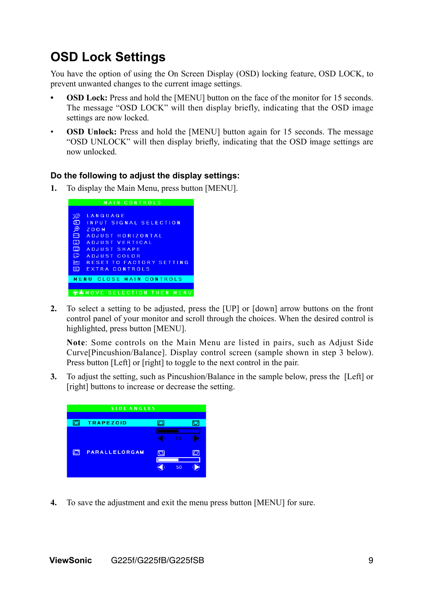## **OSD Lock Settings**

You have the option of using the On Screen Display (OSD) locking feature, OSD LOCK, to prevent unwanted changes to the current image settings.

- **OSD Lock:** Press and hold the [MENU] button on the face of the monitor for 15 seconds. The message "OSD LOCK" will then display briefly, indicating that the OSD image settings are now locked.
- **OSD Unlock:** Press and hold the [MENU] button again for 15 seconds. The message "OSD UNLOCK" will then display briefly, indicating that the OSD image settings are now unlocked.

#### **Do the following to adjust the display settings:**

**1.** To display the Main Menu, press button [MENU].



**2.** To select a setting to be adjusted, press the [UP] or [down] arrow buttons on the front control panel of your monitor and scroll through the choices. When the desired control is highlighted, press button [MENU].

 **Note**: Some controls on the Main Menu are listed in pairs, such as Adjust Side Curve[Pincushion/Balance]. Display control screen (sample shown in step 3 below). Press button [Left] or [right] to toggle to the next control in the pair.

**3.** To adjust the setting, such as Pincushion/Balance in the sample below, press the [Left] or [right] buttons to increase or decrease the setting.



**4.** To save the adjustment and exit the menu press button [MENU] for sure.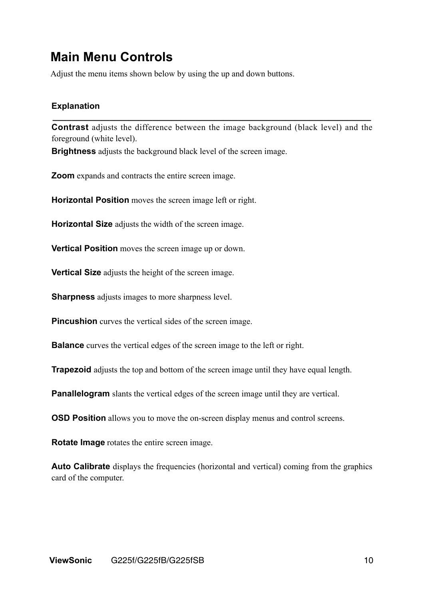## **Main Menu Controls**

Adjust the menu items shown below by using the up and down buttons.

### **Explanation**

**Contrast** adjusts the difference between the image background (black level) and the foreground (white level).

**\_\_\_\_\_\_\_\_\_\_\_\_\_\_\_\_\_\_\_\_\_\_\_\_\_\_\_\_\_\_\_\_\_\_\_\_\_\_\_\_\_\_\_\_\_\_\_\_\_\_\_\_\_\_\_\_\_\_\_\_\_\_\_\_\_\_\_**

**Brightness** adjusts the background black level of the screen image.

**Zoom** expands and contracts the entire screen image.

**Horizontal Position** moves the screen image left or right.

**Horizontal Size** adjusts the width of the screen image.

**Vertical Position** moves the screen image up or down.

**Vertical Size** adjusts the height of the screen image.

**Sharpness** adjusts images to more sharpness level.

**Pincushion** curves the vertical sides of the screen image.

**Balance** curves the vertical edges of the screen image to the left or right.

**Trapezoid** adjusts the top and bottom of the screen image until they have equal length.

**Panallelogram** slants the vertical edges of the screen image until they are vertical.

**OSD Position** allows you to move the on-screen display menus and control screens.

**Rotate Image** rotates the entire screen image.

**Auto Calibrate** displays the frequencies (horizontal and vertical) coming from the graphics card of the computer.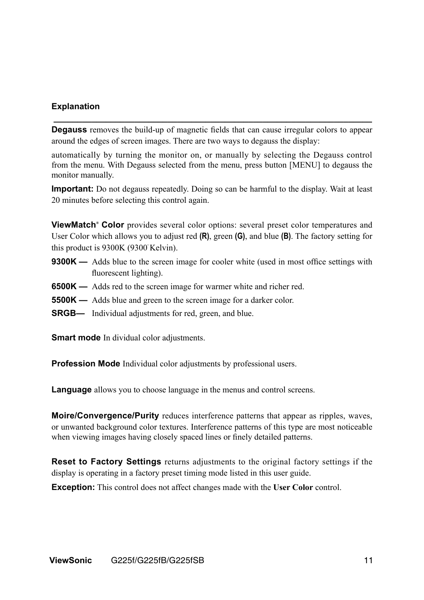#### **Explanation**

**Degauss** removes the build-up of magnetic fields that can cause irregular colors to appear around the edges of screen images. There are two ways to degauss the display:

**\_\_\_\_\_\_\_\_\_\_\_\_\_\_\_\_\_\_\_\_\_\_\_\_\_\_\_\_\_\_\_\_\_\_\_\_\_\_\_\_\_\_\_\_\_\_\_\_\_\_\_\_\_\_\_\_\_\_\_\_\_\_\_\_\_\_\_**

automatically by turning the monitor on, or manually by selecting the Degauss control from the menu. With Degauss selected from the menu, press button [MENU] to degauss the monitor manually.

**Important:** Do not degauss repeatedly. Doing so can be harmful to the display. Wait at least 20 minutes before selecting this control again.

**ViewMatch® Color** provides several color options: several preset color temperatures and User Color which allows you to adjust red **(R)**, green **(G)**, and blue **(B)**. The factory setting for this product is 9300K (9300° Kelvin).

- **9300K —** Adds blue to the screen image for cooler white (used in most office settings with fluorescent lighting).
- **6500K —** Adds red to the screen image for warmer white and richer red.
- **5500K —** Adds blue and green to the screen image for a darker color.
- **SRGB—** Individual adjustments for red, green, and blue.

**Smart mode** In dividual color adjustments.

**Profession Mode** Individual color adjustments by professional users.

**Language** allows you to choose language in the menus and control screens.

**Moire/Convergence/Purity** reduces interference patterns that appear as ripples, waves, or unwanted background color textures. Interference patterns of this type are most noticeable when viewing images having closely spaced lines or finely detailed patterns.

**Reset to Factory Settings** returns adjustments to the original factory settings if the display is operating in a factory preset timing mode listed in this user guide.

**Exception:** This control does not affect changes made with the **User Color** control.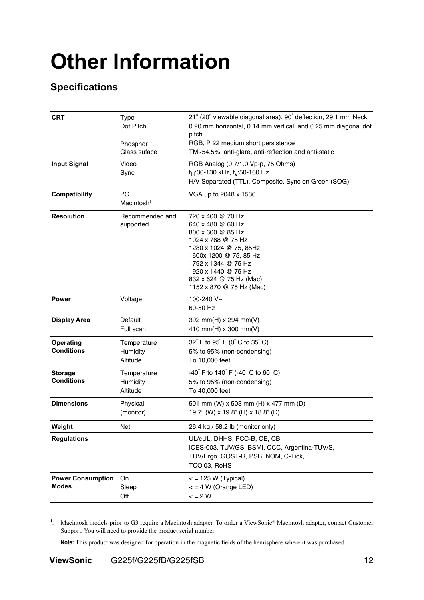# **Other Information**

## **Specifications**

| <b>CRT</b>                                                     | <b>Type</b><br>Dot Pitch                                                                                                                                                                                                                                                   | 21" (20" viewable diagonal area). 90° deflection, 29.1 mm Neck<br>0.20 mm horizontal, 0.14 mm vertical, and 0.25 mm diagonal dot<br>pitch |  |
|----------------------------------------------------------------|----------------------------------------------------------------------------------------------------------------------------------------------------------------------------------------------------------------------------------------------------------------------------|-------------------------------------------------------------------------------------------------------------------------------------------|--|
|                                                                | Phosphor<br>Glass suface                                                                                                                                                                                                                                                   | RGB, P 22 medium short persistence<br>TM~54.5%, anti-glare, anti-reflection and anti-static                                               |  |
| <b>Input Signal</b>                                            | Video                                                                                                                                                                                                                                                                      | RGB Analog (0.7/1.0 Vp-p, 75 Ohms)                                                                                                        |  |
|                                                                | Sync                                                                                                                                                                                                                                                                       | $f_H$ :30-130 kHz, $f_V$ :50-160 Hz                                                                                                       |  |
|                                                                |                                                                                                                                                                                                                                                                            | H/V Separated (TTL), Composite, Sync on Green (SOG).                                                                                      |  |
| Compatibility                                                  | <b>PC</b><br>Macintosh <sup>1</sup>                                                                                                                                                                                                                                        | VGA up to 2048 x 1536                                                                                                                     |  |
| <b>Resolution</b>                                              | Recommended and<br>720 x 400 @ 70 Hz<br>640 x 480 @ 60 Hz<br>supported<br>800 x 600 @ 85 Hz<br>1024 x 768 @ 75 Hz<br>1280 x 1024 @ 75, 85Hz<br>1600x 1200 @ 75, 85 Hz<br>1792 x 1344 @ 75 Hz<br>1920 x 1440 @ 75 Hz<br>832 x 624 @ 75 Hz (Mac)<br>1152 x 870 @ 75 Hz (Mac) |                                                                                                                                           |  |
| <b>Power</b>                                                   | Voltage                                                                                                                                                                                                                                                                    | 100-240 V~<br>60-50 Hz                                                                                                                    |  |
| <b>Display Area</b>                                            | Default<br>Full scan                                                                                                                                                                                                                                                       | 392 mm(H) x 294 mm(V)<br>410 mm(H) x 300 mm(V)                                                                                            |  |
| <b>Operating</b><br><b>Conditions</b>                          | Temperature<br>Humidity<br>Altitude                                                                                                                                                                                                                                        | 32° F to 95° F (0° C to 35° C)<br>5% to 95% (non-condensing)<br>To 10,000 feet                                                            |  |
| <b>Storage</b><br>Conditions                                   | Temperature<br>Humidity<br>Altitude                                                                                                                                                                                                                                        | $-40^{\circ}$ F to 140 $^{\circ}$ F (-40 $^{\circ}$ C to 60 $^{\circ}$ C)<br>5% to 95% (non-condensing)<br>To 40,000 feet                 |  |
| <b>Dimensions</b>                                              | Physical<br>(monitor)                                                                                                                                                                                                                                                      | 501 mm (W) x 503 mm (H) x 477 mm (D)<br>19.7" (W) x 19.8" (H) x 18.8" (D)                                                                 |  |
| Weight                                                         | Net                                                                                                                                                                                                                                                                        | 26.4 kg / 58.2 lb (monitor only)                                                                                                          |  |
| <b>Regulations</b>                                             |                                                                                                                                                                                                                                                                            | UL/cUL, DHHS, FCC-B, CE, CB,<br>ICES-003, TUV/GS, BSMI, CCC, Argentina-TUV/S,<br>TUV/Ergo, GOST-R, PSB, NOM, C-Tick,<br>TCO'03, RoHS      |  |
| <b>Power Consumption</b><br>On<br><b>Modes</b><br>Sleep<br>Off |                                                                                                                                                                                                                                                                            | $\epsilon$ = 125 W (Typical)<br>$\epsilon$ = 4 W (Orange LED)<br>$\leq$ = 2 W                                                             |  |

**1** . Macintosh models prior to G3 require a Macintosh adapter. To order a ViewSonic® Macintosh adapter, contact Customer Support. You will need to provide the product serial number.

**Note:** This product was designed for operation in the magnetic fields of the hemisphere where it was purchased.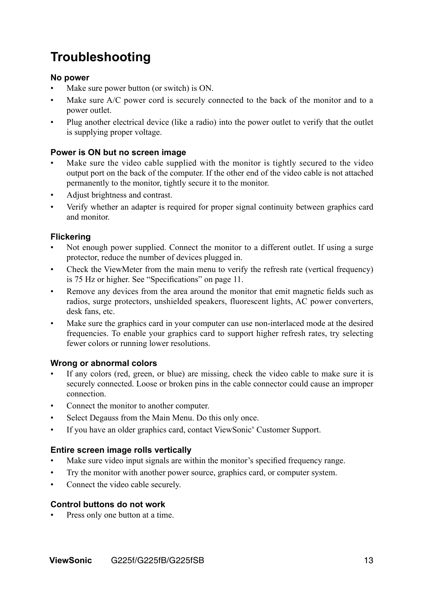# **Troubleshooting**

### **No power**

- Make sure power button (or switch) is ON.
- Make sure A/C power cord is securely connected to the back of the monitor and to a power outlet.
- Plug another electrical device (like a radio) into the power outlet to verify that the outlet is supplying proper voltage.

### **Power is ON but no screen image**

- Make sure the video cable supplied with the monitor is tightly secured to the video output port on the back of the computer. If the other end of the video cable is not attached permanently to the monitor, tightly secure it to the monitor.
- Adjust brightness and contrast.
- Verify whether an adapter is required for proper signal continuity between graphics card and monitor.

### **Flickering**

- Not enough power supplied. Connect the monitor to a different outlet. If using a surge protector, reduce the number of devices plugged in.
- Check the ViewMeter from the main menu to verify the refresh rate (vertical frequency) is 75 Hz or higher. See "Specifications" on page 11.
- Remove any devices from the area around the monitor that emit magnetic fields such as radios, surge protectors, unshielded speakers, fluorescent lights, AC power converters, desk fans, etc.
- Make sure the graphics card in your computer can use non-interlaced mode at the desired frequencies. To enable your graphics card to support higher refresh rates, try selecting fewer colors or running lower resolutions.

### **Wrong or abnormal colors**

- If any colors (red, green, or blue) are missing, check the video cable to make sure it is securely connected. Loose or broken pins in the cable connector could cause an improper connection.
- Connect the monitor to another computer.
- Select Degauss from the Main Menu. Do this only once.
- If you have an older graphics card, contact ViewSonic® Customer Support.

### **Entire screen image rolls vertically**

- Make sure video input signals are within the monitor's specified frequency range.
- Try the monitor with another power source, graphics card, or computer system.
- Connect the video cable securely.

### **Control buttons do not work**

Press only one button at a time.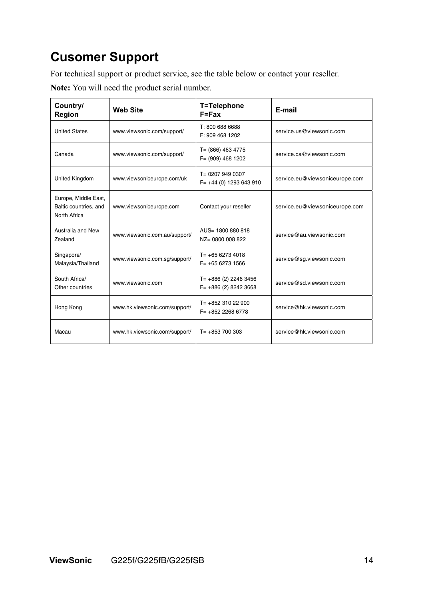# **Cusomer Support**

For technical support or product service, see the table below or contact your reseller.

**Note:** You will need the product serial number.

| Country/<br><b>Region</b>                                     | <b>Web Site</b>               | T=Telephone<br>$F = Fax$                           | E-mail                         |
|---------------------------------------------------------------|-------------------------------|----------------------------------------------------|--------------------------------|
| <b>United States</b>                                          | www.viewsonic.com/support/    | T: 800 688 6688<br>F: 909 468 1202                 | service.us@viewsonic.com       |
| Canada                                                        | www.viewsonic.com/support/    | $T = (866)$ 463 4775<br>$F = (909)$ 468 1202       | service.ca@viewsonic.com       |
| United Kingdom                                                | www.viewsoniceurope.com/uk    | T= 0207 949 0307<br>$F = +44(0)$ 1293 643 910      | service.eu@viewsoniceurope.com |
| Europe, Middle East,<br>Baltic countries, and<br>North Africa | www.viewsoniceurope.com       | Contact your reseller                              | service.eu@viewsoniceurope.com |
| Australia and New<br>Zealand                                  | www.viewsonic.com.au/support/ | AUS= 1800 880 818<br>NZ= 0800 008 822              | service@au.viewsonic.com       |
| Singapore/<br>Malaysia/Thailand                               | www.viewsonic.com.sg/support/ | $T = +6562734018$<br>$F = +6562731566$             | service@sg.viewsonic.com       |
| South Africa/<br>Other countries                              | www.viewsonic.com             | $T = +886(2)$ 2246 3456<br>$F = +886(2) 8242 3668$ | service@sd.viewsonic.com       |
| Hong Kong                                                     | www.hk.viewsonic.com/support/ | $T = +85231022900$<br>$F = +85222686778$           | service@hk.viewsonic.com       |
| Macau                                                         | www.hk.viewsonic.com/support/ | $T = +853700303$                                   | service@hk.viewsonic.com       |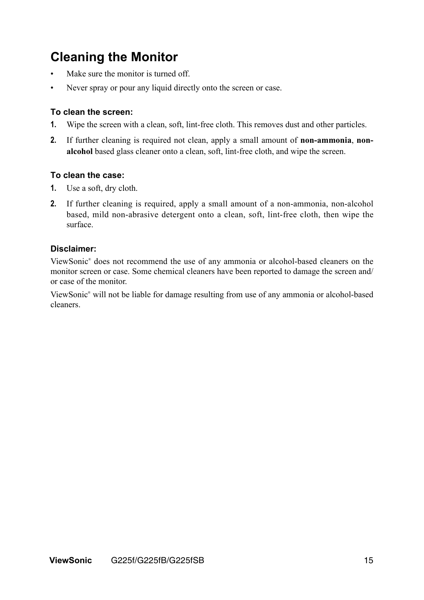## **Cleaning the Monitor**

- Make sure the monitor is turned off.
- Never spray or pour any liquid directly onto the screen or case.

#### **To clean the screen:**

- **1.** Wipe the screen with a clean, soft, lint-free cloth. This removes dust and other particles.
- **2.** If further cleaning is required not clean, apply a small amount of **non-ammonia**, **nonalcohol** based glass cleaner onto a clean, soft, lint-free cloth, and wipe the screen.

#### **To clean the case:**

- **1.** Use a soft, dry cloth.
- **2.** If further cleaning is required, apply a small amount of a non-ammonia, non-alcohol based, mild non-abrasive detergent onto a clean, soft, lint-free cloth, then wipe the surface.

#### **Disclaimer:**

ViewSonic® does not recommend the use of any ammonia or alcohol-based cleaners on the monitor screen or case. Some chemical cleaners have been reported to damage the screen and/ or case of the monitor.

ViewSonic® will not be liable for damage resulting from use of any ammonia or alcohol-based cleaners.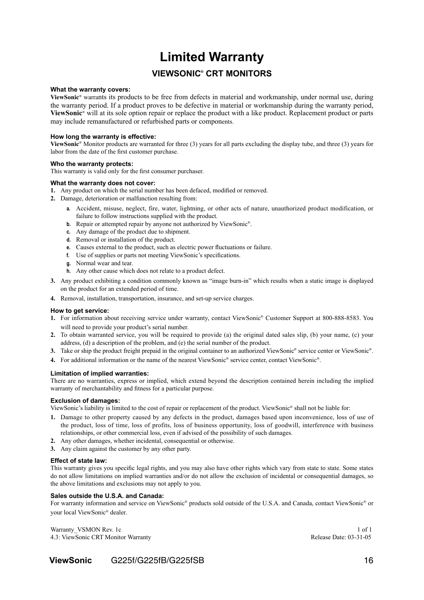## **Limited Warranty**

### **VIEWSONIC® CRT MONITORS**

#### **What the warranty covers:**

**ViewSonic**® warrants its products to be free from defects in material and workmanship, under normal use, during the warranty period. If a product proves to be defective in material or workmanship during the warranty period, **ViewSonic**® will at its sole option repair or replace the product with a like product. Replacement product or parts may include remanufactured or refurbished parts or components.

#### **How long the warranty is effective:**

**ViewSonic**® Monitor products are warranted for three (3) years for all parts excluding the display tube, and three (3) years for labor from the date of the first customer purchase.

#### **Who the warranty protects:**

This warranty is valid only for the first consumer purchaser.

#### **What the warranty does not cover:**

- **1.** Any product on which the serial number has been defaced, modified or removed.
- **2.** Damage, deterioration or malfunction resulting from:
	- **a.** Accident, misuse, neglect, fire, water, lightning, or other acts of nature, unauthorized product modification, or failure to follow instructions supplied with the product.
	- **b.** Repair or attempted repair by anyone not authorized by ViewSonic<sup>®</sup>.
	- **c.** Any damage of the product due to shipment.
	- **d.** Removal or installation of the product.
	- **e.** Causes external to the product, such as electric power fluctuations or failure.
	- **f.** Use of supplies or parts not meeting ViewSonic's specifications.
	- **g.** Normal wear and tear.
	- **h.** Any other cause which does not relate to a product defect.
- **3.** Any product exhibiting a condition commonly known as "image burn-in" which results when a static image is displayed on the product for an extended period of time.
- **4.** Removal, installation, transportation, insurance, and set-up service charges.

#### **How to get service:**

- **1.** For information about receiving service under warranty, contact ViewSonic® Customer Support at 800-888-8583. You will need to provide your product's serial number.
- **2.** To obtain warranted service, you will be required to provide (a) the original dated sales slip, (b) your name, (c) your address, (d) a description of the problem, and (e) the serial number of the product.
- **3.** Take or ship the product freight prepaid in the original container to an authorized ViewSonic® service center or ViewSonic®.
- **4.** For additional information or the name of the nearest ViewSonic® service center, contact ViewSonic®.

#### **Limitation of implied warranties:**

There are no warranties, express or implied, which extend beyond the description contained herein including the implied warranty of merchantability and fitness for a particular purpose.

#### **Exclusion of damages:**

ViewSonic's liability is limited to the cost of repair or replacement of the product. ViewSonic® shall not be liable for:

- **1.** Damage to other property caused by any defects in the product, damages based upon inconvenience, loss of use of the product, loss of time, loss of profits, loss of business opportunity, loss of goodwill, interference with business relationships, or other commercial loss, even if advised of the possibility of such damages.
- **2.** Any other damages, whether incidental, consequential or otherwise.
- **3.** Any claim against the customer by any other party.

#### **Effect of state law:**

This warranty gives you specific legal rights, and you may also have other rights which vary from state to state. Some states do not allow limitations on implied warranties and/or do not allow the exclusion of incidental or consequential damages, so the above limitations and exclusions may not apply to you.

#### **Sales outside the U.S.A. and Canada:**

For warranty information and service on ViewSonic® products sold outside of the U.S.A. and Canada, contact ViewSonic® or your local ViewSonic® dealer.

Warranty VSMON Rev. 1c 1 of 1 4.3: ViewSonic CRT Monitor Warranty Release Date: 03-31-05